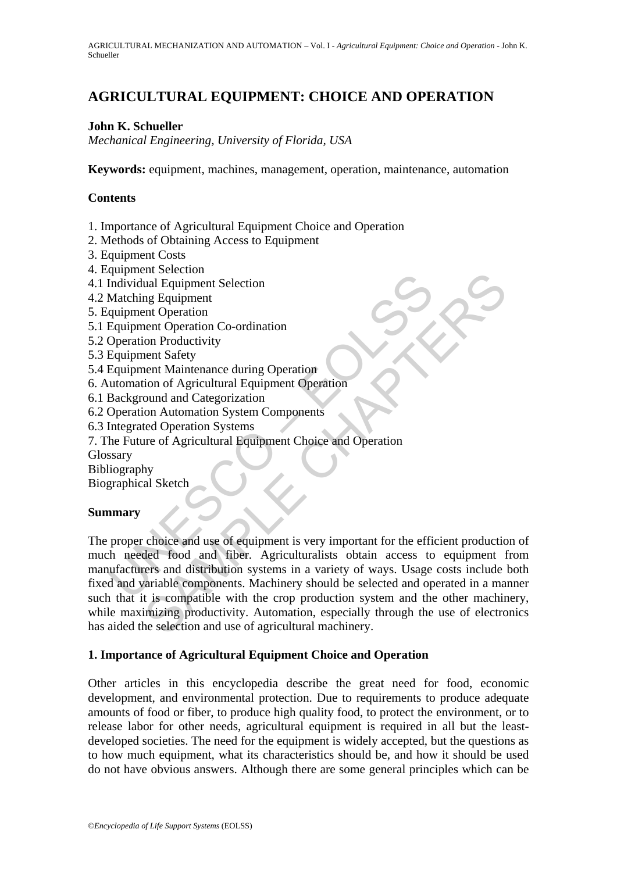# **AGRICULTURAL EQUIPMENT: CHOICE AND OPERATION**

### **John K. Schueller**

*Mechanical Engineering, University of Florida, USA* 

**Keywords:** equipment, machines, management, operation, maintenance, automation

### **Contents**

- 1. Importance of Agricultural Equipment Choice and Operation
- 2. Methods of Obtaining Access to Equipment
- 3. Equipment Costs
- 4. Equipment Selection
- 4.1 Individual Equipment Selection
- 4.2 Matching Equipment
- 5. Equipment Operation
- 5.1 Equipment Operation Co-ordination
- 5.2 Operation Productivity
- 5.3 Equipment Safety
- 5.4 Equipment Maintenance during Operation
- 6. Automation of Agricultural Equipment Operation
- 6.1 Background and Categorization
- 6.2 Operation Automation System Components
- 6.3 Integrated Operation Systems
- 7. The Future of Agricultural Equipment Choice and Operation

Glossary

Bibliography

Biographical Sketch

### **Summary**

Experient Section<br>
Individual Equipment Selection<br>
Matching Equipment<br>
Quipment Operation<br>
Concention Productivity<br>
Equipment Maintenance during Operation<br>
Equipment Maintenance during Operation<br>
Individual Equipment Maint France Cooline<br>
and Equipment Selection<br>
and Equipment<br>
on Poration<br>
con Productivity<br>
ent Safety<br>
ent Maintenance during Operation<br>
con Productivity<br>
ent Safety<br>
ent Safety<br>
ent Safety<br>
con Adventural Equipment Operation<br> The proper choice and use of equipment is very important for the efficient production of much needed food and fiber. Agriculturalists obtain access to equipment from manufacturers and distribution systems in a variety of ways. Usage costs include both fixed and variable components. Machinery should be selected and operated in a manner such that it is compatible with the crop production system and the other machinery, while maximizing productivity. Automation, especially through the use of electronics has aided the selection and use of agricultural machinery.

### **1. Importance of Agricultural Equipment Choice and Operation**

Other articles in this encyclopedia describe the great need for food, economic development, and environmental protection. Due to requirements to produce adequate amounts of food or fiber, to produce high quality food, to protect the environment, or to release labor for other needs, agricultural equipment is required in all but the leastdeveloped societies. The need for the equipment is widely accepted, but the questions as to how much equipment, what its characteristics should be, and how it should be used do not have obvious answers. Although there are some general principles which can be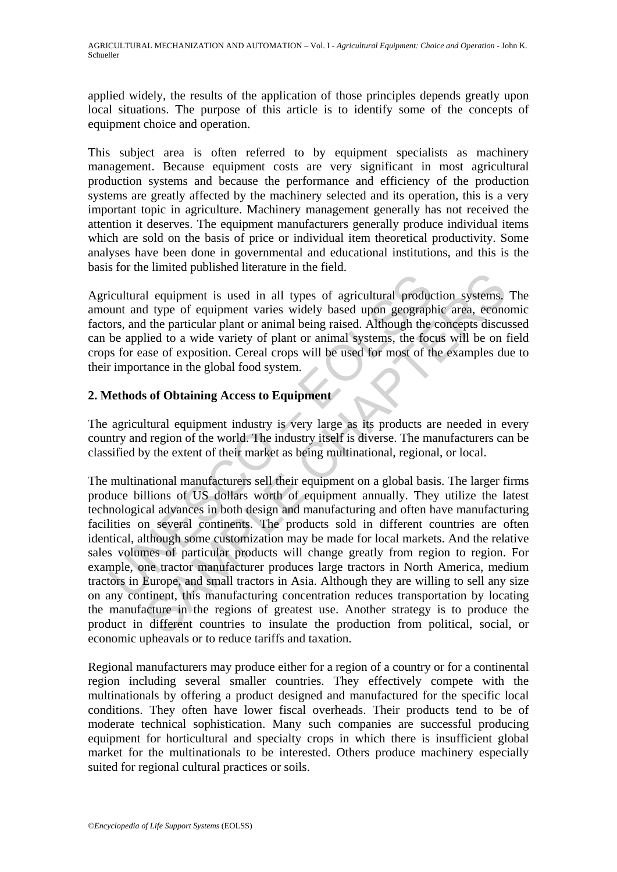applied widely, the results of the application of those principles depends greatly upon local situations. The purpose of this article is to identify some of the concepts of equipment choice and operation.

This subject area is often referred to by equipment specialists as machinery management. Because equipment costs are very significant in most agricultural production systems and because the performance and efficiency of the production systems are greatly affected by the machinery selected and its operation, this is a very important topic in agriculture. Machinery management generally has not received the attention it deserves. The equipment manufacturers generally produce individual items which are sold on the basis of price or individual item theoretical productivity. Some analyses have been done in governmental and educational institutions, and this is the basis for the limited published literature in the field.

Agricultural equipment is used in all types of agricultural production systems. The amount and type of equipment varies widely based upon geographic area, economic factors, and the particular plant or animal being raised. Although the concepts discussed can be applied to a wide variety of plant or animal systems, the focus will be on field crops for ease of exposition. Cereal crops will be used for most of the examples due to their importance in the global food system.

### **2. Methods of Obtaining Access to Equipment**

The agricultural equipment industry is very large as its products are needed in every country and region of the world. The industry itself is diverse. The manufacturers can be classified by the extent of their market as being multinational, regional, or local.

icultural equipment is used in all types of agricultural product and type of equipment varies widely based upon geograph ors, and the particular plant or animal being raised. Although the be applied to a wide variety of pl In equipment is used in all types of agricultural production systems.<br>
In equipment varies widely based upon geographic area, econd<br>
the particular plant or animal being raised. Although the concepts disculied to a wide va The multinational manufacturers sell their equipment on a global basis. The larger firms produce billions of US dollars worth of equipment annually. They utilize the latest technological advances in both design and manufacturing and often have manufacturing facilities on several continents. The products sold in different countries are often identical, although some customization may be made for local markets. And the relative sales volumes of particular products will change greatly from region to region. For example, one tractor manufacturer produces large tractors in North America, medium tractors in Europe, and small tractors in Asia. Although they are willing to sell any size on any continent, this manufacturing concentration reduces transportation by locating the manufacture in the regions of greatest use. Another strategy is to produce the product in different countries to insulate the production from political, social, or economic upheavals or to reduce tariffs and taxation.

Regional manufacturers may produce either for a region of a country or for a continental region including several smaller countries. They effectively compete with the multinationals by offering a product designed and manufactured for the specific local conditions. They often have lower fiscal overheads. Their products tend to be of moderate technical sophistication. Many such companies are successful producing equipment for horticultural and specialty crops in which there is insufficient global market for the multinationals to be interested. Others produce machinery especially suited for regional cultural practices or soils.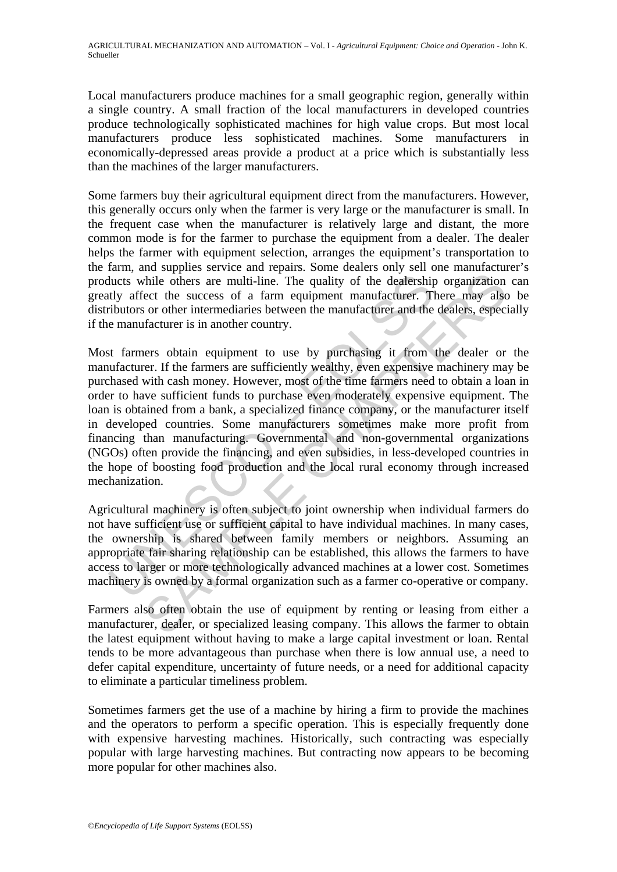Local manufacturers produce machines for a small geographic region, generally within a single country. A small fraction of the local manufacturers in developed countries produce technologically sophisticated machines for high value crops. But most local manufacturers produce less sophisticated machines. Some manufacturers in economically-depressed areas provide a product at a price which is substantially less than the machines of the larger manufacturers.

Some farmers buy their agricultural equipment direct from the manufacturers. However, this generally occurs only when the farmer is very large or the manufacturer is small. In the frequent case when the manufacturer is relatively large and distant, the more common mode is for the farmer to purchase the equipment from a dealer. The dealer helps the farmer with equipment selection, arranges the equipment's transportation to the farm, and supplies service and repairs. Some dealers only sell one manufacturer's products while others are multi-line. The quality of the dealership organization can greatly affect the success of a farm equipment manufacturer. There may also be distributors or other intermediaries between the manufacturer and the dealers, especially if the manufacturer is in another country.

lucts while others are multi-line. The quality of the dealership<br>thy affect the success of a farm equipment manufacturer. Tributors or other intermediaries between the manufacturer and the<br>e manufacturer is in another coun The others are multi-line. The quality of the dealership organization<br>check the success of a farm equipment manufacturer. There may also<br>or other intermediaries between the manufacturer and the dealers, espec-<br>facturer is Most farmers obtain equipment to use by purchasing it from the dealer or the manufacturer. If the farmers are sufficiently wealthy, even expensive machinery may be purchased with cash money. However, most of the time farmers need to obtain a loan in order to have sufficient funds to purchase even moderately expensive equipment. The loan is obtained from a bank, a specialized finance company, or the manufacturer itself in developed countries. Some manufacturers sometimes make more profit from financing than manufacturing. Governmental and non-governmental organizations (NGOs) often provide the financing, and even subsidies, in less-developed countries in the hope of boosting food production and the local rural economy through increased mechanization.

Agricultural machinery is often subject to joint ownership when individual farmers do not have sufficient use or sufficient capital to have individual machines. In many cases, the ownership is shared between family members or neighbors. Assuming an appropriate fair sharing relationship can be established, this allows the farmers to have access to larger or more technologically advanced machines at a lower cost. Sometimes machinery is owned by a formal organization such as a farmer co-operative or company.

Farmers also often obtain the use of equipment by renting or leasing from either a manufacturer, dealer, or specialized leasing company. This allows the farmer to obtain the latest equipment without having to make a large capital investment or loan. Rental tends to be more advantageous than purchase when there is low annual use, a need to defer capital expenditure, uncertainty of future needs, or a need for additional capacity to eliminate a particular timeliness problem.

Sometimes farmers get the use of a machine by hiring a firm to provide the machines and the operators to perform a specific operation. This is especially frequently done with expensive harvesting machines. Historically, such contracting was especially popular with large harvesting machines. But contracting now appears to be becoming more popular for other machines also.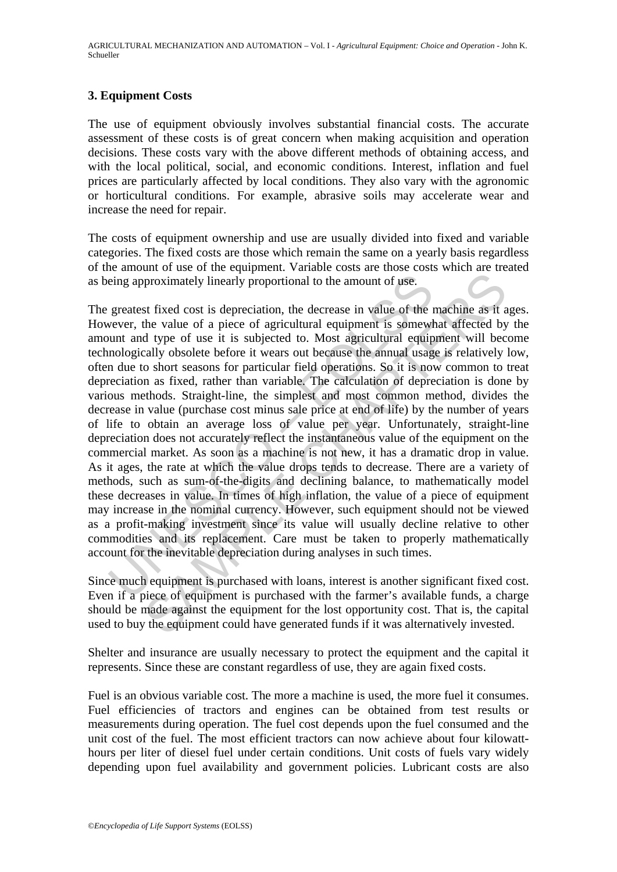### **3. Equipment Costs**

The use of equipment obviously involves substantial financial costs. The accurate assessment of these costs is of great concern when making acquisition and operation decisions. These costs vary with the above different methods of obtaining access, and with the local political, social, and economic conditions. Interest, inflation and fuel prices are particularly affected by local conditions. They also vary with the agronomic or horticultural conditions. For example, abrasive soils may accelerate wear and increase the need for repair.

The costs of equipment ownership and use are usually divided into fixed and variable categories. The fixed costs are those which remain the same on a yearly basis regardless of the amount of use of the equipment. Variable costs are those costs which are treated as being approximately linearly proportional to the amount of use.

eing approximately linearly proportional to the amount of use.<br>greatest fixed cost is depreciation, the decrease in value of the vevever, the value of a piece of agricultural equipment is somewhunt and type of use it is su proximately linearly proportional to the amount of use.<br>
Interval cost is depreciation, the decrease in value of the machine as it as<br>
the value of a piece of agricultural equipment is somewhat affected by<br>
d type of use i The greatest fixed cost is depreciation, the decrease in value of the machine as it ages. However, the value of a piece of agricultural equipment is somewhat affected by the amount and type of use it is subjected to. Most agricultural equipment will become technologically obsolete before it wears out because the annual usage is relatively low, often due to short seasons for particular field operations. So it is now common to treat depreciation as fixed, rather than variable. The calculation of depreciation is done by various methods. Straight-line, the simplest and most common method, divides the decrease in value (purchase cost minus sale price at end of life) by the number of years of life to obtain an average loss of value per year. Unfortunately, straight-line depreciation does not accurately reflect the instantaneous value of the equipment on the commercial market. As soon as a machine is not new, it has a dramatic drop in value. As it ages, the rate at which the value drops tends to decrease. There are a variety of methods, such as sum-of-the-digits and declining balance, to mathematically model these decreases in value. In times of high inflation, the value of a piece of equipment may increase in the nominal currency. However, such equipment should not be viewed as a profit-making investment since its value will usually decline relative to other commodities and its replacement. Care must be taken to properly mathematically account for the inevitable depreciation during analyses in such times.

Since much equipment is purchased with loans, interest is another significant fixed cost. Even if a piece of equipment is purchased with the farmer's available funds, a charge should be made against the equipment for the lost opportunity cost. That is, the capital used to buy the equipment could have generated funds if it was alternatively invested.

Shelter and insurance are usually necessary to protect the equipment and the capital it represents. Since these are constant regardless of use, they are again fixed costs.

Fuel is an obvious variable cost. The more a machine is used, the more fuel it consumes. Fuel efficiencies of tractors and engines can be obtained from test results or measurements during operation. The fuel cost depends upon the fuel consumed and the unit cost of the fuel. The most efficient tractors can now achieve about four kilowatthours per liter of diesel fuel under certain conditions. Unit costs of fuels vary widely depending upon fuel availability and government policies. Lubricant costs are also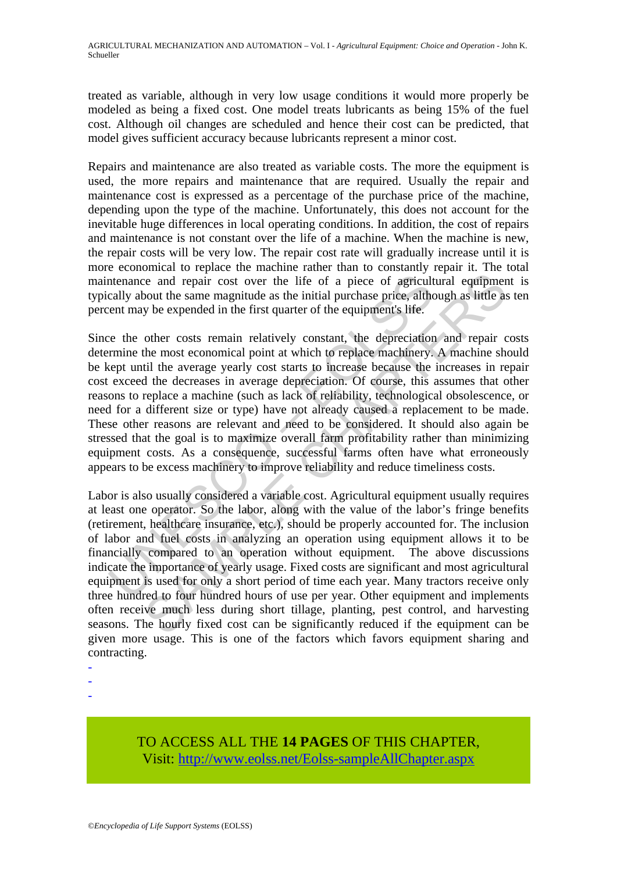treated as variable, although in very low usage conditions it would more properly be modeled as being a fixed cost. One model treats lubricants as being 15% of the fuel cost. Although oil changes are scheduled and hence their cost can be predicted, that model gives sufficient accuracy because lubricants represent a minor cost.

Repairs and maintenance are also treated as variable costs. The more the equipment is used, the more repairs and maintenance that are required. Usually the repair and maintenance cost is expressed as a percentage of the purchase price of the machine, depending upon the type of the machine. Unfortunately, this does not account for the inevitable huge differences in local operating conditions. In addition, the cost of repairs and maintenance is not constant over the life of a machine. When the machine is new, the repair costs will be very low. The repair cost rate will gradually increase until it is more economical to replace the machine rather than to constantly repair it. The total maintenance and repair cost over the life of a piece of agricultural equipment is typically about the same magnitude as the initial purchase price, although as little as ten percent may be expended in the first quarter of the equipment's life.

ntenance and repair cost over the life of a piece of agricult<br>cally about the same magnitude as the initial purchase price, althe<br>ent may be expended in the first quarter of the equipment's life.<br>
ee the other costs remain Since the other costs remain relatively constant, the depreciation and repair costs determine the most economical point at which to replace machinery. A machine should be kept until the average yearly cost starts to increase because the increases in repair cost exceed the decreases in average depreciation. Of course, this assumes that other reasons to replace a machine (such as lack of reliability, technological obsolescence, or need for a different size or type) have not already caused a replacement to be made. These other reasons are relevant and need to be considered. It should also again be stressed that the goal is to maximize overall farm profitability rather than minimizing equipment costs. As a consequence, successful farms often have what erroneously appears to be excess machinery to improve reliability and reduce timeliness costs.

example are and repair cost over the life of a piece of agricultural equipment<br>obout the same magnitude as the initial purchase price, although as little as<br>y be expended in the first quarter of the equipment's life.<br>Other Labor is also usually considered a variable cost. Agricultural equipment usually requires at least one operator. So the labor, along with the value of the labor's fringe benefits (retirement, healthcare insurance, etc.), should be properly accounted for. The inclusion of labor and fuel costs in analyzing an operation using equipment allows it to be financially compared to an operation without equipment. The above discussions indicate the importance of yearly usage. Fixed costs are significant and most agricultural equipment is used for only a short period of time each year. Many tractors receive only three hundred to four hundred hours of use per year. Other equipment and implements often receive much less during short tillage, planting, pest control, and harvesting seasons. The hourly fixed cost can be significantly reduced if the equipment can be given more usage. This is one of the factors which favors equipment sharing and contracting.

- -
- -
- -

## TO ACCESS ALL THE **14 PAGES** OF THIS CHAPTER, Visit: [http://www.eolss.net/Eolss-sampleAllChapter.aspx](https://www.eolss.net/ebooklib/sc_cart.aspx?File=E5-11-01-02)